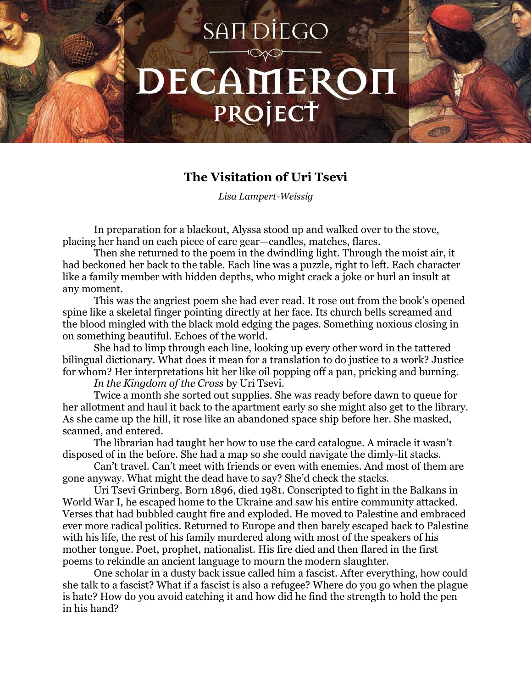## SAIT DIEGO DECAMEROI PROJECT

## **The Visitation of Uri Tsevi**

*Lisa Lampert-Weissig*

In preparation for a blackout, Alyssa stood up and walked over to the stove, placing her hand on each piece of care gear—candles, matches, flares.

Then she returned to the poem in the dwindling light. Through the moist air, it had beckoned her back to the table. Each line was a puzzle, right to left. Each character like a family member with hidden depths, who might crack a joke or hurl an insult at any moment.

This was the angriest poem she had ever read. It rose out from the book's opened spine like a skeletal finger pointing directly at her face. Its church bells screamed and the blood mingled with the black mold edging the pages. Something noxious closing in on something beautiful. Echoes of the world.

She had to limp through each line, looking up every other word in the tattered bilingual dictionary. What does it mean for a translation to do justice to a work? Justice for whom? Her interpretations hit her like oil popping off a pan, pricking and burning.

*In the Kingdom of the Cross* by Uri Tsevi.

Twice a month she sorted out supplies. She was ready before dawn to queue for her allotment and haul it back to the apartment early so she might also get to the library. As she came up the hill, it rose like an abandoned space ship before her. She masked, scanned, and entered.

The librarian had taught her how to use the card catalogue. A miracle it wasn't disposed of in the before. She had a map so she could navigate the dimly-lit stacks.

Can't travel. Can't meet with friends or even with enemies. And most of them are gone anyway. What might the dead have to say? She'd check the stacks.

Uri Tsevi Grinberg. Born 1896, died 1981. Conscripted to fight in the Balkans in World War I, he escaped home to the Ukraine and saw his entire community attacked. Verses that had bubbled caught fire and exploded. He moved to Palestine and embraced ever more radical politics. Returned to Europe and then barely escaped back to Palestine with his life, the rest of his family murdered along with most of the speakers of his mother tongue. Poet, prophet, nationalist. His fire died and then flared in the first poems to rekindle an ancient language to mourn the modern slaughter.

One scholar in a dusty back issue called him a fascist. After everything, how could she talk to a fascist? What if a fascist is also a refugee? Where do you go when the plague is hate? How do you avoid catching it and how did he find the strength to hold the pen in his hand?